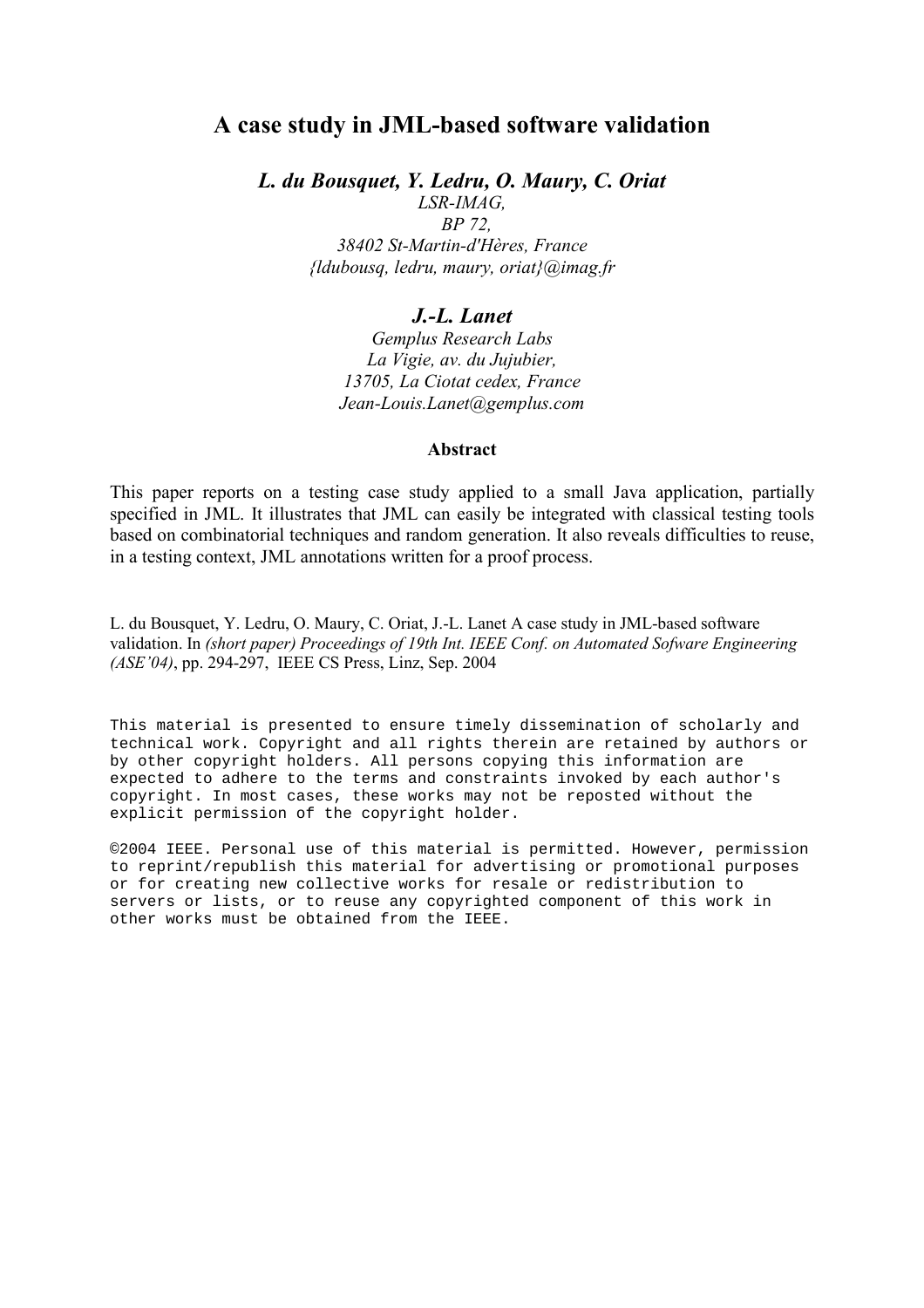## A case study in JML-based software validation

L. du Bousquet, Y. Ledru, O. Maury, C. Oriat

LSR-IMAG, BP 72, 38402 St-Martin-d'Hères, France {ldubousq, ledru, maury, oriat}@imag.fr

# J.-L. Lanet

Gemplus Research Labs La Vigie, av. du Jujubier, 13705, La Ciotat cedex, France Jean-Louis.Lanet@gemplus.com

### Abstract

This paper reports on a testing case study applied to a small Java application, partially specified in JML. It illustrates that JML can easily be integrated with classical testing tools based on combinatorial techniques and random generation. It also reveals difficulties to reuse, in a testing context, JML annotations written for a proof process.

L. du Bousquet, Y. Ledru, O. Maury, C. Oriat, J.-L. Lanet A case study in JML-based software validation. In (short paper) Proceedings of 19th Int. IEEE Conf. on Automated Sofware Engineering (ASE'04), pp. 294-297, IEEE CS Press, Linz, Sep. 2004

This material is presented to ensure timely dissemination of scholarly and technical work. Copyright and all rights therein are retained by authors or by other copyright holders. All persons copying this information are expected to adhere to the terms and constraints invoked by each author's copyright. In most cases, these works may not be reposted without the explicit permission of the copyright holder.

©2004 IEEE. Personal use of this material is permitted. However, permission to reprint/republish this material for advertising or promotional purposes or for creating new collective works for resale or redistribution to servers or lists, or to reuse any copyrighted component of this work in other works must be obtained from the IEEE.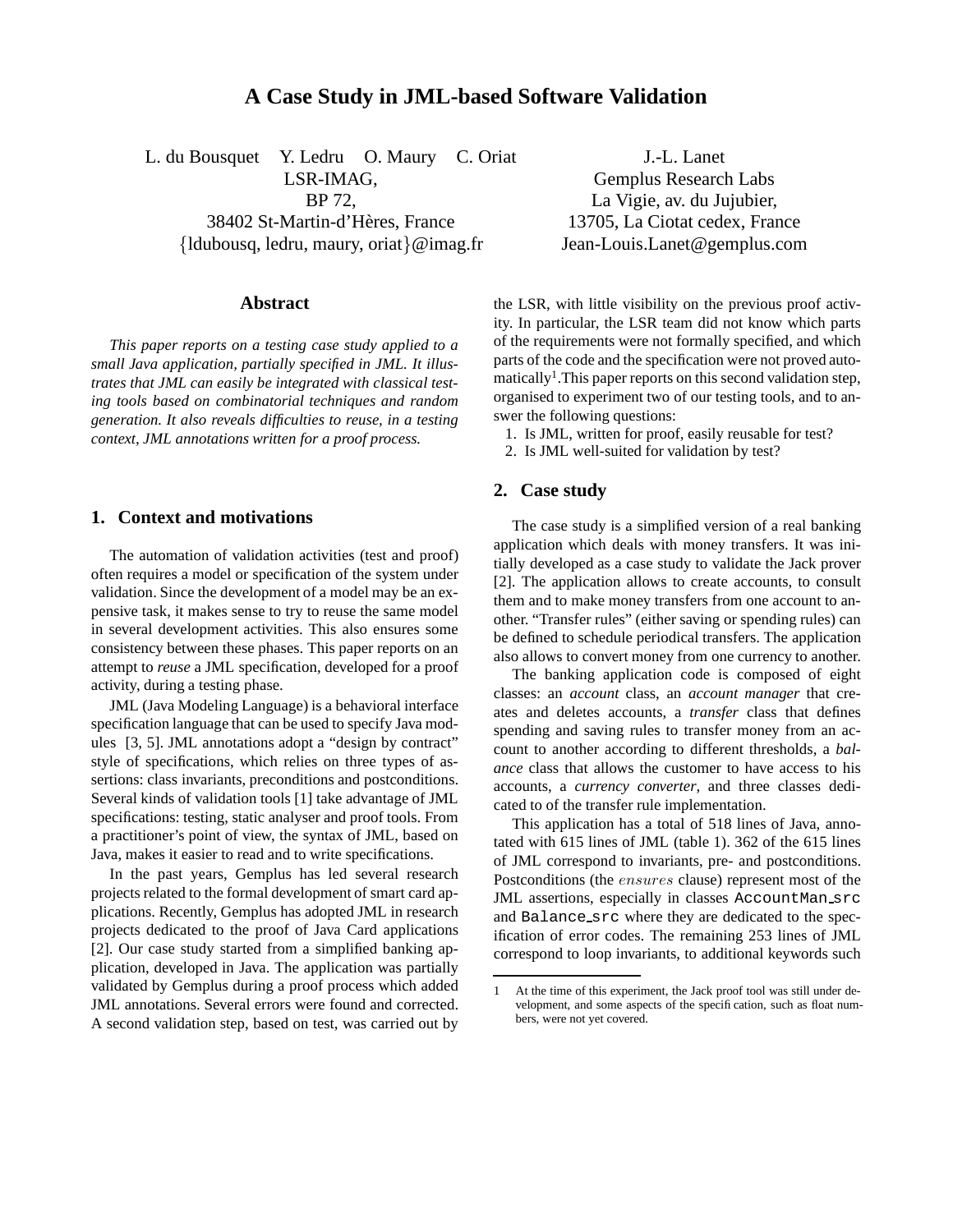## **A Case Study in JML-based Software Validation**

L. du Bousquet Y. Ledru O. Maury C. Oriat LSR-IMAG, BP 72, 38402 St-Martin-d'Hères, France {ldubousq, ledru, maury, oriat}@imag.fr

### **Abstract**

*This paper reports on a testing case study applied to a small Java application, partially specified in JML. It illustrates that JML can easily be integrated with classical testing tools based on combinatorial techniques and random generation. It also reveals difficulties to reuse, in a testing context, JML annotations written for a proof process.*

### **1. Context and motivations**

The automation of validation activities (test and proof) often requires a model or specification of the system under validation. Since the development of a model may be an expensive task, it makes sense to try to reuse the same model in several development activities. This also ensures some consistency between these phases. This paper reports on an attempt to *reuse* a JML specification, developed for a proof activity, during a testing phase.

JML (Java Modeling Language) is a behavioral interface specification language that can be used to specify Java modules [3, 5]. JML annotations adopt a "design by contract" style of specifications, which relies on three types of assertions: class invariants, preconditions and postconditions. Several kinds of validation tools [1] take advantage of JML specifications: testing, static analyser and proof tools. From a practitioner's point of view, the syntax of JML, based on Java, makes it easier to read and to write specifications.

In the past years, Gemplus has led several research projects related to the formal development of smart card applications. Recently, Gemplus has adopted JML in research projects dedicated to the proof of Java Card applications [2]. Our case study started from a simplified banking application, developed in Java. The application was partially validated by Gemplus during a proof process which added JML annotations. Several errors were found and corrected. A second validation step, based on test, was carried out by

J.-L. Lanet Gemplus Research Labs La Vigie, av. du Jujubier, 13705, La Ciotat cedex, France Jean-Louis.Lanet@gemplus.com

the LSR, with little visibility on the previous proof activity. In particular, the LSR team did not know which parts of the requirements were not formally specified, and which parts of the code and the specification were not proved automatically<sup>1</sup>. This paper reports on this second validation step, organised to experiment two of our testing tools, and to answer the following questions:

- 1. Is JML, written for proof, easily reusable for test?
- 2. Is JML well-suited for validation by test?

### **2. Case study**

The case study is a simplified version of a real banking application which deals with money transfers. It was initially developed as a case study to validate the Jack prover [2]. The application allows to create accounts, to consult them and to make money transfers from one account to another. "Transfer rules" (either saving or spending rules) can be defined to schedule periodical transfers. The application also allows to convert money from one currency to another.

The banking application code is composed of eight classes: an *account* class, an *account manager* that creates and deletes accounts, a *transfer* class that defines spending and saving rules to transfer money from an account to another according to different thresholds, a *balance* class that allows the customer to have access to his accounts, a *currency converter*, and three classes dedicated to of the transfer rule implementation.

This application has a total of 518 lines of Java, annotated with 615 lines of JML (table 1). 362 of the 615 lines of JML correspond to invariants, pre- and postconditions. Postconditions (the ensures clause) represent most of the JML assertions, especially in classes AccountMan src and Balance src where they are dedicated to the specification of error codes. The remaining 253 lines of JML correspond to loop invariants, to additional keywords such

<sup>1</sup> At the time of this experiment, the Jack proof tool was still under development, and some aspects of the specification, such as float numbers, were not yet covered.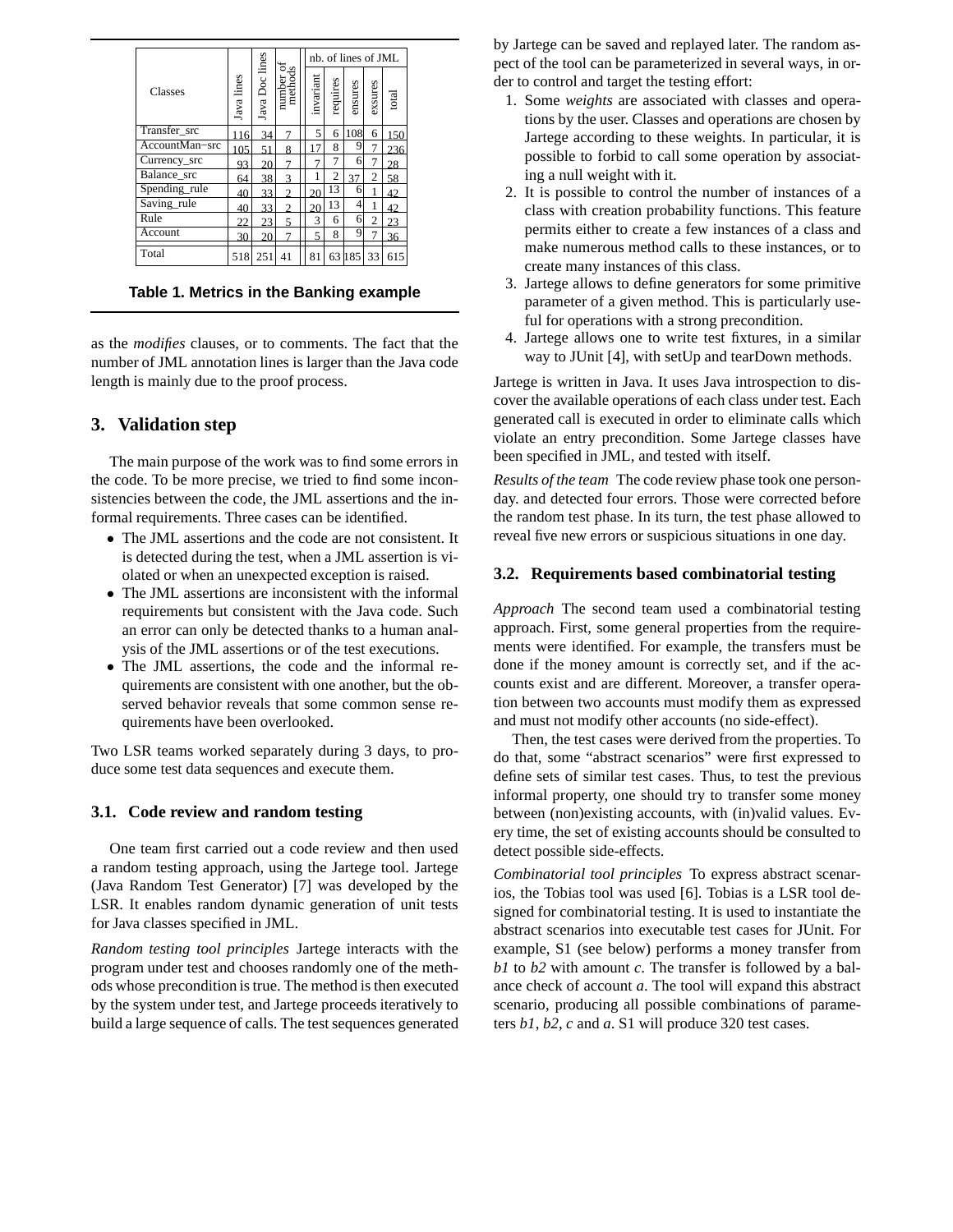|                |            |                |                      | nb. of lines of JML |          |         |              |       |
|----------------|------------|----------------|----------------------|---------------------|----------|---------|--------------|-------|
| Classes        | Java lines | Java Doc lines | number of<br>methods | invariant           | requires | ensures | exsures      | total |
| Transfer_src   | 116        | 34             |                      | 5                   | 6        | 108     | 6            | 150   |
| AccountMan-src | 105        | 51             | 8                    | 17                  | 8        | 9       | 7            | 236   |
| Currency_src   | 93         | 20             | 7                    | 7                   | 7        | 6       | 7            | 28    |
| Balance_src    | 64         | 38             | 3                    | 1                   | 2        | 37      | 2            | 58    |
| Spending_rule  | 40         | 33             |                      | 20                  | 13       | 6       | 1            | 42    |
| Saving_rule    | 40         | 33             | C                    | 20                  | 13       | 4       | 1            | 42    |
| Rule           | 22         | 23             | 5                    | 3                   | 6        | 6       | $\mathbf{2}$ | 23    |
| Account        | 30         | 20             |                      | 5                   | 8        | 9       | 7            | 36    |
| Total          | 518        | 251            | 41                   | 81                  | 63       | 185     | 33           | 615   |

**Table 1. Metrics in the Banking example**

as the *modifies* clauses, or to comments. The fact that the number of JML annotation lines is larger than the Java code length is mainly due to the proof process.

### **3. Validation step**

The main purpose of the work was to find some errors in the code. To be more precise, we tried to find some inconsistencies between the code, the JML assertions and the informal requirements. Three cases can be identified.

- The JML assertions and the code are not consistent. It is detected during the test, when a JML assertion is violated or when an unexpected exception is raised.
- The JML assertions are inconsistent with the informal requirements but consistent with the Java code. Such an error can only be detected thanks to a human analysis of the JML assertions or of the test executions.
- The JML assertions, the code and the informal requirements are consistent with one another, but the observed behavior reveals that some common sense requirements have been overlooked.

Two LSR teams worked separately during 3 days, to produce some test data sequences and execute them.

### **3.1. Code review and random testing**

One team first carried out a code review and then used a random testing approach, using the Jartege tool. Jartege (Java Random Test Generator) [7] was developed by the LSR. It enables random dynamic generation of unit tests for Java classes specified in JML.

*Random testing tool principles* Jartege interacts with the program under test and chooses randomly one of the methods whose precondition is true. The method is then executed by the system under test, and Jartege proceeds iteratively to build a large sequence of calls. The test sequences generated by Jartege can be saved and replayed later. The random aspect of the tool can be parameterized in several ways, in order to control and target the testing effort:

- 1. Some *weights* are associated with classes and operations by the user. Classes and operations are chosen by Jartege according to these weights. In particular, it is possible to forbid to call some operation by associating a null weight with it.
- 2. It is possible to control the number of instances of a class with creation probability functions. This feature permits either to create a few instances of a class and make numerous method calls to these instances, or to create many instances of this class.
- 3. Jartege allows to define generators for some primitive parameter of a given method. This is particularly useful for operations with a strong precondition.
- 4. Jartege allows one to write test fixtures, in a similar way to JUnit [4], with setUp and tearDown methods.

Jartege is written in Java. It uses Java introspection to discover the available operations of each class under test. Each generated call is executed in order to eliminate calls which violate an entry precondition. Some Jartege classes have been specified in JML, and tested with itself.

*Results of the team* The code review phase took one personday. and detected four errors. Those were corrected before the random test phase. In its turn, the test phase allowed to reveal five new errors or suspicious situations in one day.

#### **3.2. Requirements based combinatorial testing**

*Approach* The second team used a combinatorial testing approach. First, some general properties from the requirements were identified. For example, the transfers must be done if the money amount is correctly set, and if the accounts exist and are different. Moreover, a transfer operation between two accounts must modify them as expressed and must not modify other accounts (no side-effect).

Then, the test cases were derived from the properties. To do that, some "abstract scenarios" were first expressed to define sets of similar test cases. Thus, to test the previous informal property, one should try to transfer some money between (non)existing accounts, with (in)valid values. Every time, the set of existing accounts should be consulted to detect possible side-effects.

*Combinatorial tool principles* To express abstract scenarios, the Tobias tool was used [6]. Tobias is a LSR tool designed for combinatorial testing. It is used to instantiate the abstract scenarios into executable test cases for JUnit. For example, S1 (see below) performs a money transfer from *b1* to *b2* with amount *c*. The transfer is followed by a balance check of account *a*. The tool will expand this abstract scenario, producing all possible combinations of parameters *b1*, *b2*, *c* and *a*. S1 will produce 320 test cases.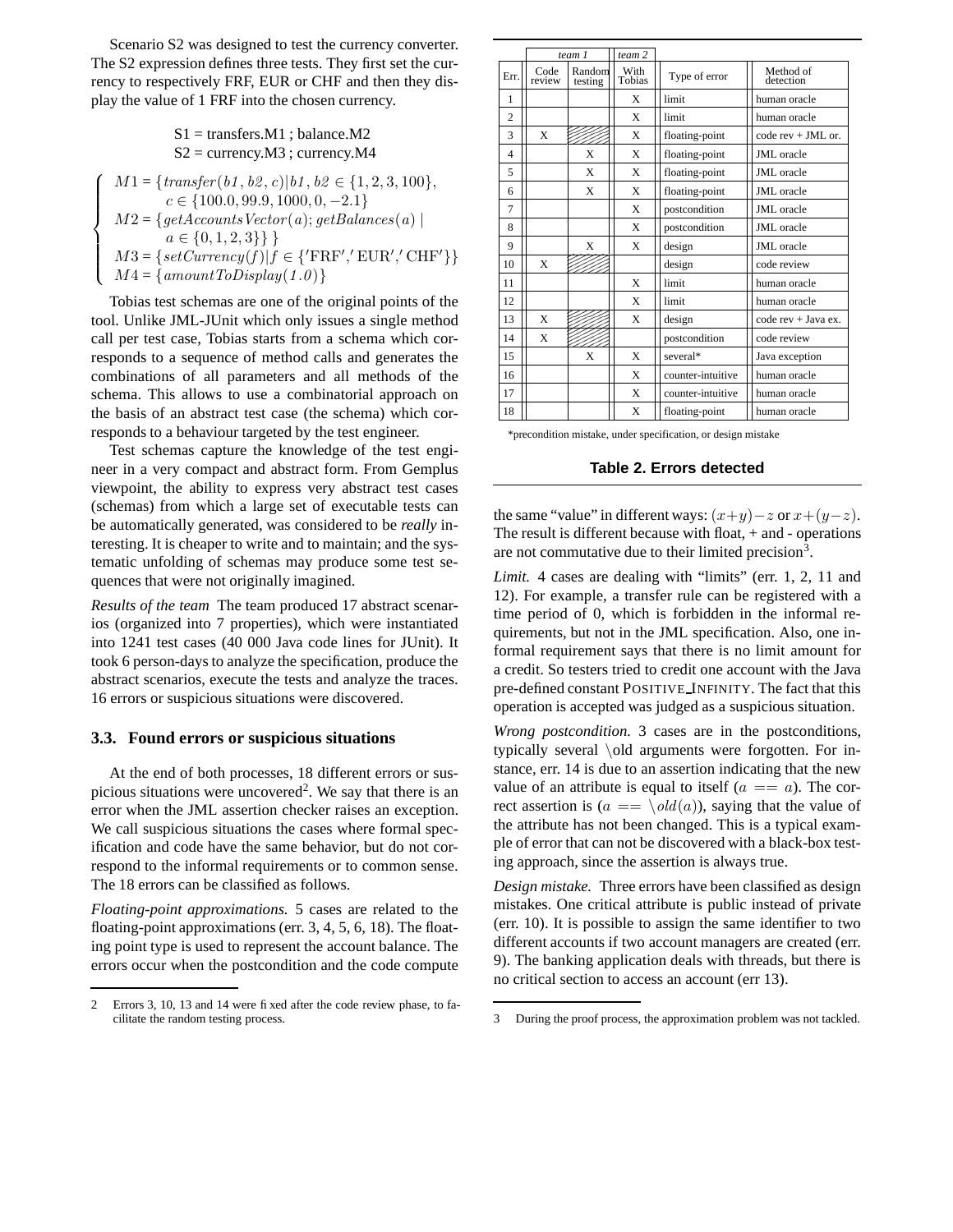Scenario S2 was designed to test the currency converter. The S2 expression defines three tests. They first set the currency to respectively FRF, EUR or CHF and then they display the value of 1 FRF into the chosen currency.

> $S1 = \text{transfers.M1}$ ; balance.M2  $S2 =$  currency. $M3$ ; currency. $M4$

 $\sqrt{ }$  $\int$ 

 $\overline{\mathcal{L}}$ 

$$
M1 = \{transfer(b1, b2, c)|b1, b2 \in \{1, 2, 3, 100\},\ c \in \{100.0, 99.9, 1000, 0, -2.1\}
$$
\n
$$
M2 = \{getAccountsVector(a); getBalances(a) | a \in \{0, 1, 2, 3\}\}
$$
\n
$$
M3 = \{setCurrentcy(f)|f \in \{'FRF', 'EUR', 'CHF'\}\}
$$
\n
$$
M4 = \{amountTobisplay(1.0)\}
$$

Tobias test schemas are one of the original points of the tool. Unlike JML-JUnit which only issues a single method call per test case, Tobias starts from a schema which corresponds to a sequence of method calls and generates the combinations of all parameters and all methods of the schema. This allows to use a combinatorial approach on the basis of an abstract test case (the schema) which corresponds to a behaviour targeted by the test engineer.

Test schemas capture the knowledge of the test engineer in a very compact and abstract form. From Gemplus viewpoint, the ability to express very abstract test cases (schemas) from which a large set of executable tests can be automatically generated, was considered to be *really* interesting. It is cheaper to write and to maintain; and the systematic unfolding of schemas may produce some test sequences that were not originally imagined.

*Results of the team* The team produced 17 abstract scenarios (organized into 7 properties), which were instantiated into 1241 test cases (40 000 Java code lines for JUnit). It took 6 person-days to analyze the specification, produce the abstract scenarios, execute the tests and analyze the traces. 16 errors or suspicious situations were discovered.

#### **3.3. Found errors or suspicious situations**

At the end of both processes, 18 different errors or suspicious situations were uncovered<sup>2</sup>. We say that there is an error when the JML assertion checker raises an exception. We call suspicious situations the cases where formal specification and code have the same behavior, but do not correspond to the informal requirements or to common sense. The 18 errors can be classified as follows.

*Floating-point approximations.* 5 cases are related to the floating-point approximations (err. 3, 4, 5, 6, 18). The floating point type is used to represent the account balance. The errors occur when the postcondition and the code compute

|                | team 1         |                   | team 2         |                   |                        |
|----------------|----------------|-------------------|----------------|-------------------|------------------------|
| Err.           | Code<br>review | Random<br>testing | With<br>Tobias | Type of error     | Method of<br>detection |
| 1              |                |                   | X              | limit             | human oracle           |
| $\overline{c}$ |                |                   | X              | limit             | human oracle           |
| 3              | X              |                   | X              | floating-point    | code $rev + JMI$ , or. |
| 4              |                | $\mathbf x$       | X              | floating-point    | JML oracle             |
| 5              |                | X                 | X              | floating-point    | <b>JML</b> oracle      |
| 6              |                | X                 | X              | floating-point    | <b>JML</b> oracle      |
| $\overline{7}$ |                |                   | X              | postcondition     | <b>JML</b> oracle      |
| 8              |                |                   | X              | postcondition     | <b>JML</b> oracle      |
| 9              |                | $\mathbf x$       | X              | design            | <b>JML</b> oracle      |
| 10             | X              |                   |                | design            | code review            |
| 11             |                |                   | X              | limit             | human oracle           |
| 12             |                |                   | X              | limit             | human oracle           |
| 13             | X              |                   | X              | design            | code rev + Java ex.    |
| 14             | X              |                   |                | postcondition     | code review            |
| 15             |                | $\mathbf x$       | X              | several*          | Java exception         |
| 16             |                |                   | X              | counter-intuitive | human oracle           |
| 17             |                |                   | $\mathbf x$    | counter-intuitive | human oracle           |
| 18             |                |                   | X              | floating-point    | human oracle           |

\*precondition mistake, under specification, or design mistake

### **Table 2. Errors detected**

the same "value" in different ways:  $(x+y)-z$  or  $x+(y-z)$ . The result is different because with float, + and - operations are not commutative due to their limited precision<sup>3</sup>.

*Limit.* 4 cases are dealing with "limits" (err. 1, 2, 11 and 12). For example, a transfer rule can be registered with a time period of 0, which is forbidden in the informal requirements, but not in the JML specification. Also, one informal requirement says that there is no limit amount for a credit. So testers tried to credit one account with the Java pre-defined constant POSITIVE INFINITY. The fact that this operation is accepted was judged as a suspicious situation.

*Wrong postcondition.* 3 cases are in the postconditions, typically several \old arguments were forgotten. For instance, err. 14 is due to an assertion indicating that the new value of an attribute is equal to itself  $(a == a)$ . The correct assertion is  $(a == \text{old}(a))$ , saying that the value of the attribute has not been changed. This is a typical example of error that can not be discovered with a black-box testing approach, since the assertion is always true.

*Design mistake.* Three errors have been classified as design mistakes. One critical attribute is public instead of private (err. 10). It is possible to assign the same identifier to two different accounts if two account managers are created (err. 9). The banking application deals with threads, but there is no critical section to access an account (err 13).

<sup>2</sup> Errors 3, 10, 13 and 14 were fixed after the code review phase, to facilitate the random testing process.

<sup>3</sup> During the proof process, the approximation problem was not tackled.